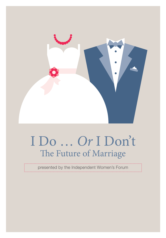

# I Do … *Or* I Don't The Future of Marriage

presented by the Independent Women's Forum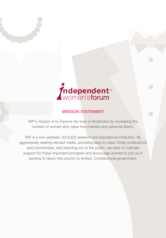

### MISSION STATEMENT

IWF's mission is to improve the lives of Americans by increasing the number of women who value free markets and personal liberty.

IWF is a non-partisan, 501(c)(3) research and educational institution. By aggressively seeking earned media, providing easy-to-read, timely publications and commentary, and reaching out to the public, we seek to cultivate support for these important principles and encourage women to join us in working to return the country to limited, Constitutional government.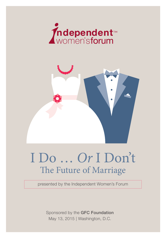



# I Do … *Or* I Don't The Future of Marriage

presented by the Independent Women's Forum

Sponsored by the GFC Foundation May 13, 2015 | Washington, D.C.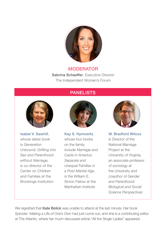

#### MODERATOR

Sabrina Schaeffer, Executive Director The Independent Women's Forum

# PANELISTS



Isabel V. Sawhill, whose latest book is *Generation Unbound: Drifting into Sex and Parenthood without Marriage,* is co-director of the Center on Children and Families at the Brookings Institution



Kay S. Hymowitz, whose four books on the family include *Marriage and Caste in America: Separate and Unequal Families in a Post-Marital Age*, is the William E. Simon Fellow at the Manhattan Institute



W. Bradford Wilcox is Director of the National Marriage Project at the University of Virginia, an associate professor of sociology at the University and coauthor of *Gender and Parenthood: Biological and Social Science Perspectives*

We regretted that **Kate Bolick** was unable to attend at the last minute. Her book *Spinster: Making a Life of One's Own* had just come out, and she is a contributing editor at The Atlantic, where her much-discussed article "All the Single Ladies" appeared.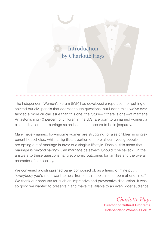

The Independent Women's Forum (IWF) has developed a reputation for putting on spirited but civil panels that address tough questions, but I don't think we've ever tackled a more crucial issue than this one: the future—if there is one—of marriage. An astonishing 40 percent of children in the U.S. are born to unmarried women, a clear indication that marriage as an institution appears to be in jeopardy.

Many never-married, low-income women are struggling to raise children in singleparent households, while a significant portion of more affluent young people are opting out of marriage in favor of a single's lifestyle. Does all this mean that marriage is beyond saving? Can marriage be saved? Should it be saved? On the answers to these questions hang economic outcomes for families and the overall character of our society.

We convened a distinguished panel composed of, as a friend of mine put it, "everybody you'd most want to hear from on this topic in one room at one time." We thank our panelists for such an impressive and provocative discussion. It was so good we wanted to preserve it and make it available to an even wider audience.

> *Charlotte Hays* Director of Cultural Programs, Independent Women's Forum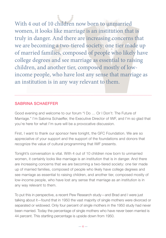With 4 out of 10 children now born to unmarried women, it looks like marriage is an institution that is truly in danger. And there are increasing concerns that we are becoming a two-tiered society: one tier made up of married families, composed of people who likely have college degrees and see marriage as essential to raising children, and another tier, composed mostly of lowincome people, who have lost any sense that marriage as an institution is in any way relevant to them.

# SABRINA SCHAEFFER

Good evening and welcome to our forum "I Do … Or I Don't: The Future of Marriage." I'm Sabrina Schaeffer, the Executive Director of IWF, and I'm so glad that you're here for what I'm sure will be a provocative discussion.

First, I want to thank our sponsor here tonight, the GFC Foundation. We are so appreciative of your support and the support of the foundations and donors that recognize the value of cultural programming that IWF presents.

Tonight's conversation is vital. With 4 out of 10 children now born to unmarried women, it certainly looks like marriage is an institution that is in danger. And there are increasing concerns that we are becoming a two-tiered society: one tier made up of married families, composed of people who likely have college degrees and see marriage as essential to raising children, and another tier, composed mostly of low-income people, who have lost any sense that marriage as an institution is in any way relevant to them.

To put this in perspective, a recent Pew Research study—and Brad and I were just talking about it—found that in 1950 the vast majority of single mothers were divorced or separated or widowed. Only four percent of single mothers in the 1950 study had never been married. Today the percentage of single mothers who have never been married is 44 percent. This startling percentage is upside down from 1950.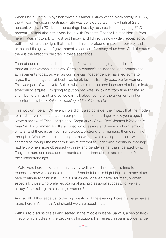When Daniel Patrick Moynihan wrote his famous study of the black family in 1965, the African-American illegitimacy rate was considered alarmingly high at 23.6 percent. Sadly, in 2011, that percentage had skyrocketed to a staggering 72.3 percent. I talked about this very issue with Delegate Eleanor Holmes Norton from here in Washington, D.C., just last Friday, and I think it's now widely accepted by both the left and the right that this trend has a profound impact on poverty and crime and the growth of government, a concern for many of us here. And of course there is the effect on children in these scenarios.

Then of course, there is the question of how these changing attitudes affect more affluent women in society. Certainly women's educational and professional achievements today, as well as our financial independence, have led some to argue that marriage is—at best—optional, but realistically obsolete for women. This was part of what Kate Bolick, who could not be here because of a last-minute emergency, argues. I'm going to put on my Kate Bolick hat from time to time so she'll be here in spirit and so we can talk about some of the arguments in her important new book *Spinster: Making a Life of One's Own*.

This wouldn't be an IWF event if we didn't also consider the impact that the modern feminist movement has had on our perceptions of marriage. A few years ago, I wrote a review of Erica Jong's book *Sugar in My Bowl: Real Women Write about Real Sex* for *Commentary.* It's a collection of essays and memoirs from feminist writers, and there is, as you might expect, a strong anti-marriage theme running through it. What was so interesting to me when I was reading the book, was that it seemed as though the modern feminist attempt to undermine traditional marriage had left women more obsessed with sex and gender rather than liberated by it. They are more confused and tormented rather than clearer and more confident in their understandings.

If Kate were here tonight, she might very well ask us if perhaps it's time to reconsider how we perceive marriage. Should it be this high ideal that many of us here continue to think it is? Or it is just as well or even better for many women, especially those who prefer educational and professional success, to live very happy, full, exciting lives as single women?

And so all of this leads us to the big question of the evening: Does marriage have a future here in America? And should we care about that?

With us to discuss this all and seated in the middle is Isabel Sawhill, a senior fellow in economic studies at the Brookings Institution. Her research spans a wide range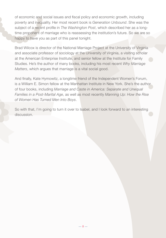of economic and social issues and fiscal policy and economic growth, including poverty and inequality. Her most recent book is *Generation Unbound*. She was the subject of a recent profile in *The Washington Post*, which described her as a longtime proponent of marriage who is reassessing the institution's future. So we are so happy to have you as part of this panel tonight.

Brad Wilcox is director of the National Marriage Project at the University of Virginia and associate professor of sociology at the University of Virginia, a visiting scholar at the American Enterprise Institute, and senior fellow at the Institute for Family Studies. He's the author of many books, including his most recent *Why Marriage Matters*, which argues that marriage is a vital social good.

And finally, Kate Hymowitz, a longtime friend of the Independent Women's Forum, is a William E. Simon fellow at the Manhattan Institute in New York. She's the author of four books, including *Marriage and Caste in America: Separate and Unequal Families in a Post-Marital Age*, as well as most recently *Manning Up: How the Rise of Women Has Turned Men Into Boys*.

So with that, I'm going to turn it over to Isabel, and I look forward to an interesting discussion.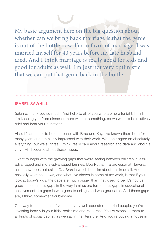My basic argument here on the big question about whether can we bring back marriage is that the genie is out of the bottle now. I'm in favor of marriage. I was married myself for 40 years before my late husband died. And I think marriage is really good for kids and good for adults as well. I'm just not very optimistic that we can put that genie back in the bottle.

#### ISABEL SAWHILL

*S*abrina, thank you so much. And hello to all of you who are here tonight. I think I'm keeping you from dinner or more wine or something, so we want to be relatively brief and hear your questions.

Also, it's an honor to be on a panel with Brad and Kay. I've known them both for many years and am highly impressed with their work. We don't agree on absolutely everything, but we all three, I think, really care about research and data and about a very civil discourse about these issues.

I want to begin with the growing gaps that we're seeing between children in lessadvantaged and more-advantaged families. Bob Putnam, a professor at Harvard, has a new book out called *Our Kids* in which he talks about this in detail. And basically what he shows, and what I've shown in some of my work, is that if you look at today's kids, the gaps are much bigger than they used to be. It's not just gaps in income, it's gaps in the way families are formed, it's gaps in educational achievement, it's gaps in who goes to college and who graduates. And those gaps are, I think, somewhat troublesome.

One way to put it is that if you are a very well-educated, married couple, you're investing heavily in your kids, both time and resources. You're exposing them to all kinds of social capital, as we say in the literature. And you're buying a house in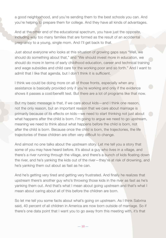a good neighborhood, and you're sending them to the best schools you can. And you're helping to prepare them for college. And they have all kinds of advantages.

And at the other end of the educational spectrum, you have just the opposite, including way too many families that are formed as the result of an accidental pregnancy to a young, single mom. And I'll get back to that.

Just about everyone who looks at this situation of growing gaps says "Well, we should do something about that," and "We should invest more in education, we should do more in terms of early childhood education, career and technical training and wage subsidies and child care for the working poor and so forth." And I want to admit that I like that agenda, but I don't think it is sufficient.

I think we could be doing more on all of those fronts, especially when any assistance is basically provided only if you're working and only if the evidence shows it passes a cost/benefit test. But there are a lot of programs like that now.

But my basic message is that, if we care about kids—and I think one reason, not the only reason, but an important reason that we care about marriage is primarily because of its effects on kids—we need to start thinking not just about what happens after the child is born. I'm going to argue we need to go upstream, meaning we need to think about what happens before the child is born, not after the child is born. Because once the child is born, the trajectories, the life trajectories of these children are often very difficult to change.

And almost no one talks about the upstream story. Let me tell you a story that some of you may have heard before. It's about a guy who lives in a village, and there's a river running through the village, and there's a bunch of kids floating down the river, and he's yanking the kids out of the river—they're at risk of drowning, and he's yanking them out about as fast as he can.

And he's getting very tired and getting very frustrated. And finally he realizes that upstream there's another guy who's throwing those kids in the river as fast as he's yanking them out. And that's what I mean about going upstream and that's what I mean about caring about all of this before the children are born.

So let me tell you some facts about what's going on upstream. As I think Sabrina said, 40 percent of all children in America are now born outside of marriage. So if there's one data point that I want you to go away from this meeting with, it's that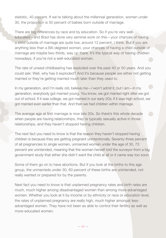statistic, 40 percent. If we're talking about the millennial generation, women under 30, the proportion is 50 percent of babies born outside of marriage.

There are big differences by race and by education. So if you're very welleducated—and Brad has done very seminal work on this—your chances of having a child outside of marriage are quite low, around 12 percent, I think. But if you are anything less than a BA-degreed woman, your chances of having a child outside of marriage are maybe two-thirds, way up there. It's the typical way of having children nowadays, if you're not a well-educated woman.

The rate of unwed childbearing has exploded over the past 40 or 50 years. And you could ask: Well, why has it exploded? And it's because people are either not getting married or they're getting married much later than they used to.

In my generation, and I'm really old, believe me—I won't admit it, but I am—in my generation, everybody got married young. You know, we got married right after we got out of school. If it was college, we got married in our early 20s; if it was high school, we got married even earlier than that. And then we had children within marriage.

The average age at first marriage is now late 20s. So there's this whole decade when people are having relationships, they're typically sexually active in those relationships, and they haven't stopped having children.

The next fact you need to know is that the reason they haven't stopped having children is because they are getting pregnant unintentionally. Seventy-three percent of all pregnancies to single women, unmarried women under the age of 30, 73 percent are unintended, meaning that the woman herself told the surveyor from a big government study that either she didn't want the child at all or it came way too soon.

Some of them go on to have abortions. But if you look at the births to this age group, the unmarrieds under 30, 60 percent of these births are unintended, not really wanted or prepared for by the parents.

Next fact you need to know is that unplanned pregnancy rates and birth rates are much, much higher among disadvantaged women than among more-advantaged women. Whether you look at it by income or by ethnicity or race or education level, the rates of unplanned pregnancy are really high, much higher amongst lessadvantaged women. They have not been as able to control their fertility as well as more-educated women.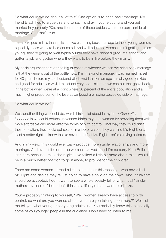So what could we do about all of this? One option is to bring back marriage. My friend Brad likes to argue this and to say it's okay if you're young and you get married in your early 20s, and then more of these babies would be born inside of marriage. And that's true.

I am more pessimistic than he is that we can bring back marriage to these young women, especially those who are less-educated. And well-educated women aren't getting married young, they're going to wait typically until they have finished graduate school and gotten a job and gotten where they want to be in life before they marry.

My basic argument here on the big question of whether we can we bring back marriage is that the genie is out of the bottle now. I'm in favor of marriage. I was married myself for 40 years before my late husband died. And I think marriage is really good for kids and good for adults as well. I'm just not very optimistic that we can put that genie back in the bottle when we're at a point where 50 percent of the entire population and a much higher proportion of the less-advantaged are having babies outside of marriage.

#### So what could we do?

Well, another thing we could do, which I talk a lot about in my book *Generation Unbound* is we could reduce unplanned births to young women by providing them with more affordable and more effective forms of birth control. That way they could finish their education, they could get settled in a job or career, they can find Mr. Right, or at least a better right—I know there's never a perfect Mr. Right—before having children.

And in my view, this would eventually produce more stable relationships and more marriage. And even if it didn't, the women involved—and I'm so sorry Kate Bolick isn't here because I think she might have talked a little bit more about this—would be in a much better position to go it alone, to provide for their children.

There are some women—I read a little piece about this recently—who never find Mr. Right and decide they're just going to have a child on their own. And I think that should be accepted. I don't want to see a whole society full of what I call "singlemothers-by-choice," but I don't think it's a lifestyle that I want to criticize.

You're probably thinking to yourself, "Well, women already have access to birth control, so what are you worried about, what are you talking about here?" Well, let me tell you what young, most young adults use. You probably know this, especially some of you younger people in the audience. Don't need to listen to me.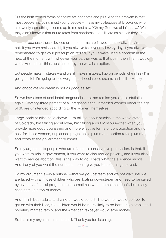But the birth control forms of choice are condoms and pills. And the problem is that most people, including most young people—I have my colleagues at Brookings who are twenty-something —come up to me and say, "Oh my God, we didn't know." What they didn't know is that failure rates from condoms and pills are as high as they are.

It is not because these devices or these forms are flawed; technically, they're not. If you were really careful, if you always took your pill every day, if you always remembered to get your prescription refilled, if you always used a condom in the heat of the moment with whoever your partner was at that point, then fine, it would work. And I don't think abstinence, by the way, is a option.

But people make mistakes—and we all make mistakes. I go on periods when I say I'm going to diet, I'm going to lose weight, no chocolate ice cream, and I fail inevitably.

And chocolate ice cream is not as good as sex.

So we have tons of accidental pregnancies. Let me remind you of this statistic again. Seventy-three percent of all pregnancies to unmarried women under the age of 30 are unintended according to the women themselves.

Large-scale studies have shown—I'm talking about studies in the whole state of Colorado, I'm talking about Iowa, I'm talking about Missouri—that when you provide more good counseling and more effective forms of contraception and no cost for these women, unplanned pregnancies plummet, abortion rates plummet, and costs to the government plummet.

So my argument to people who are of a more conservative persuasion, is that, if you want to rein in government, if you want to also reduce poverty, and if you also want to reduce abortion, this is the way to go. That's what the evidence shows. And if any of you want the numbers, I could give you tons of things to read.

So my argument is—in a nutshell—that we go upstream and we not wait until we are faced with all those children who are floating downstream and need to be saved by a variety of social programs that sometimes work, sometimes don't, but in any case cost us a ton of money.

And I think both adults and children would benefit. The women would be freer to get on with their lives, the children would be more likely to be born into a stable and hopefully married family, and the American taxpayer would save money.

So that's my argument in a nutshell. Thank you for listening.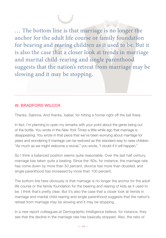… The bottom line is that marriage is no longer the anchor for the adult life course or family foundation for bearing and rearing children as it used to be. But it is also the case that a closer look at trends in marriage and marital child-rearing and single parenthood suggests that the nation's retreat from marriage may be slowing and it may be stopping.

# W. BRADFORD WILCOX

Thanks, Sabrina. And thanks, Isabel, for hitting a homer right off the bat there.

In fact, I'm planning to open my remarks with your point about the genie being out of the bottle. You wrote in the *New York Times* a little while ago that marriage is disappearing. You wrote in that piece that we've been worrying about marriage for years and wondering if marriage can be restored as the standard way to raise children. "As much as we might welcome a revival," you wrote, "I doubt if it will happen."

So I think a balanced position seems quite reasonable. Over the last half century, marriage has taken quite a beating. Since the '60s, for instance, the marriage rate has come down by more than 50 percent, divorce has more than doubled, and single parenthood has increased by more than 100 percent.

The bottom line here obviously is that marriage is no longer the anchor for the adult life course or the family foundation for the bearing and rearing of kids as it used to be. I think that's pretty clear. But it's also the case that a closer look at trends in marriage and marital child-rearing and single parenthood suggests that the nation's retreat from marriage may be slowing and it may be stopping.

In a new report colleagues at Demographic Intelligence believe, for instance, they see that the decline in the marriage rate has basically stopped. Also, the ratio of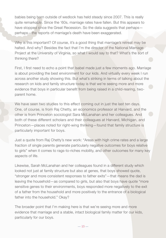babies being born outside of wedlock has held steady since 2007. This is really quite remarkable. Since the '60s, marriage rates have fallen. But this appears to have stopped since the Great Recession. So the data suggests that perhaps perhaps—the reports of marriage's death have been exaggerated.

Why is this important? Of course, it's a good thing that marriage's retreat may be halted. And why? Besides the fact that I'm the director of the National Marriage Project at the University of Virginia, so what I would say to that? What's the sort of thinking there?

First, I first need to echo a point that Isabel made just a few moments ago. Marriage is about providing the best environment for our kids. And virtually every week I run across another study showing this. But what's striking in terms of talking about the research on kids and family structure today is that we're seeing more and more evidence that boys in particular benefit from being raised in a child-rearing, twoparent home.

We have seen two studies to this effect coming out in just the last ten days. One, of course, is from Raj Chetty, an economics professor at Harvard, and the other is from Princeton sociologist Sara McLanahan and her colleagues. And both of these different scholars and their colleagues at Harvard, Michigan, and Princeton—places noted for right-wing thinking—found that family structure is particularly important for boys.

Just a quote from Raj Chetty's new work: "Areas with high crime rates and a large fraction of single parents generate particularly negative outcomes for boys relative to girls" when it comes to rags-to-riches mobility, and other outcomes for many key aspects of life.

Likewise, Sarah McLanahan and her colleagues found in a different study which looked not just at family structure but also at genes, that boys showed quote, "stronger and more consistent responses to father exits"—that means the dad is leaving the household—as compared to girls, but also that boys have quote "more sensitive genes to their environments, boys responded more negatively to the exit of a father from the household and more positively to the entrance of a biological father into the household." Okay?

The broader point that I'm making here is that we're seeing more and more evidence that marriage and a stable, intact biological family matter for our kids, particularly for our boys.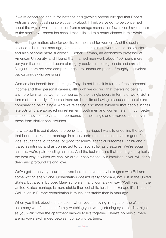If we're concerned about, for instance, this growing opportunity gap that Robert Putnam's been speaking so eloquently about, I think we've got to be concerned about the way in which the retreat from marriage means that fewer kids have access to the stable two-parent household that is linked to a better chance in this world.

But marriage matters also for adults, for men and for women. And the social science tells us that marriage, for instance, makes men work harder, be smarter and also become more successful. Robert Lerman, an economics professor at American University, and I found that married men work about 400 hours more per year than unmarried peers of roughly equivalent backgrounds and earn about \$16,000 more per year compared again to unmarried peers of roughly equivalent backgrounds who are single.

Women also benefit from marriage. They do not benefit in terms of their personal income and their personal careers, although we did find that there's no penalty anymore for married women compared to their single peers in terms of work. But in terms of their family, of course there are benefits of having a spouse in the picture compared to being single. And we're seeing also more evidence that people in their late 50s who are approaching retirement, both men and women, are in much better shape if they're stably married compared to their single and divorced peers, even those from similar backgrounds.

To wrap up this point about the benefits of marriage, I want to underline the fact that I don't think about marriage in simply instrumental terms—that it's good for kids' educational outcomes, or good for adults' financial outcomes. I think about it also as intrinsic and as connected to our sociability as creatures. We're social animals, we're pair-bonding animals. And the fact remains that marriage is typically the best way in which we can live out our aspirations, our impulses, if you will, for a deep and profound lifelong love.

We've got to be very clear here. And here I'd have to say I disagree with Bel and some writing she's done. Cohabitation doesn't really compare, not just in the United States, but also in Europe. Many scholars, many journals will say, "Well, yeah, in the United States marriage is more stable than cohabitation, but in Europe it's different." Well, even in Europe cohabitation is much less stable than is marriage.

When you think about cohabitation, when you're moving in together, there's no ceremony with friends and family watching you, with glistening eyes that first night as you walk down the apartment hallway to live together. There's no music, there are no vows exchanged between cohabiting partners.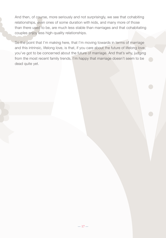And then, of course, more seriously and not surprisingly, we see that cohabiting relationships, even ones of some duration with kids, and many more of those than there used to be, are much less stable than marriages and that cohabitating couples enjoy less high-quality relationships.

So the point that I'm making here, that I'm moving towards in terms of marriage and this intrinsic, lifelong love, is that, if you care about the future of lifelong love, you've got to be concerned about the future of marriage. And that's why, judging from the most recent family trends, I'm happy that marriage doesn't seem to be dead quite yet.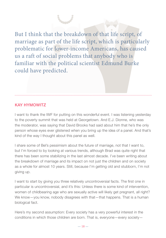But I think that the breakdown of that life script, of marriage as part of the life script, which is particularly problematic for lower-income Americans, has caused us a raft of social problems that anybody who is familiar with the political scientist Edmund Burke could have predicted.

#### KAY HYMOWITZ

I want to thank the IWF for putting on this wonderful event. I was listening yesterday to the poverty summit that was held at Georgetown. And E.J. Dionne, who was the moderator, was saying that David Brooks had said about him that he's the only person whose eyes ever glistened when you bring up the idea of a panel. And that's kind of the way I thought about this panel as well.

I share some of Bel's pessimism about the future of marriage, not that I want to, but I'm forced to by looking at various trends, although Brad was quite right that there has been some stabilizing in the last almost decade. I've been writing about the breakdown of marriage and its impact on not just the children and on society as a whole for almost 10 years. Still, because I'm getting old and stubborn, I'm not giving up.

I want to start by giving you three relatively uncontroversial facts. The first one in particular is uncontroversial, and it's this: Unless there is some kind of intervention, women of childbearing age who are sexually active will likely get pregnant, all right? We know—you know, nobody disagrees with that—that happens. That is a human biological fact.

Here's my second assumption: Every society has a very powerful interest in the conditions in which those children are born. That is, everyone—every society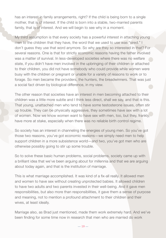has an interest in family arrangements, right? If the child is being born to a single mother, that is of interest. If the child is born into a stable, two-married parents family, that is of interest. And we will begin to see why in a moment.

My third assumption is that every society has a powerful interest in attaching young men to the children that they have, the word that we used to use was "sired." I don't guess they use that word anymore. So why are they so interested in that? For several reasons. One is that for strictly economic reasons having the father involved was a matter of survival. In less-developed societies where there was no welfare state, if you didn't have men involved in the upbringing of their children or attached to their children, you did not have somebody who could provide while women were busy with the children or pregnant or unable for a variety of reasons to work or to forage. So men became the providers, the hunters, the breadwinners. That was just a social fact driven by biological difference, in my view.

The other reason that societies have an interest in men becoming attached to their children was a little more subtle and I think less direct, shall we say, and that is this. That young, unattached men who tend to have some testosterone issues, often stir up trouble. They can be physically aggressive, they sometimes have sex with a lot of women. Now we know women want to have sex with men, too, but they, frankly, have more at stake, especially when there was no reliable birth control regime.

So society has an interest in channeling the energies of young men. So you've got those two reasons, you've got economic reasons—we simply need men to help support children in a more subsistence world—and two, you've got men who are otherwise possibly going to stir up some trouble.

So to solve these basic human problems, social problems, society came up with a brilliant idea that we've been arguing about for millennia and that we are arguing about today again, and that is the institution of marriage.

This is what marriage accomplished. It was kind of a fix-all really. It allowed men and women to have sex without creating unprotected babies. It allowed children to have two adults and two parents invested in their well-being. And it gave men responsibilities, but also more than responsibilities, it gave them a sense of purpose and meaning, not to mention a profound attachment to their children and their wives, at least ideally.

Marriage also, as Brad just mentioned, made them work extremely hard. And we've been finding for some time now in research that men who are married do work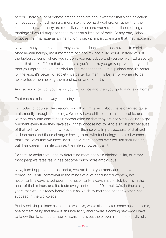harder. There's a lot of debate among scholars about whether that's self-selection. Is it because married men are more likely to be hard workers, or rather that the kinds of men who marry are more likely to be hard workers, or is it something about marriage? I would propose that it might be a little bit of both. At any rate, I also propose that marriage as an institution is set up in part to ensure that that happens.

Now for many centuries then, maybe even millennia, you then have a life script. Most human beings, most members of a society had a life script. Instead of just the biological script where you're born, you reproduce and you die, we had a social script that took off from that, and it said you're born, you grow up, you marry, and then you reproduce; you married for the reasons that I just explained and it's better for the kids, it's better for society, it's better for men, it's better for women to be able to have men helping them and so on and so forth.

And so you grow up, you marry, you reproduce and then you go to a nursing home.

That seems to be the way it is today.

But today, of course, the preconditions that I'm talking about have changed quite a bit, mostly through technology. We now have birth control that is reliable, and women really can control their reproduction so that they are not simply going to get pregnant every time they have sex, if they choose not to. And also, in part because of that fact, women can now provide for themselves. In part because of that fact and because and those changes having to do with technology liberated women that's the word that we have used—have more control over not just their bodies, but their career, their life course, their life script, as I call it.

So that life script that used to determine most people's choices in life, or rather most people's fates really, has become much more ambiguous.

Now, it so happens that that script, you are born, you marry and then you reproduce, is still somewhat in the minds of a lot of educated women, not necessarily always acted upon, not necessarily always successful, but it's in the back of their minds, and it affects every part of their 20s, their 30s, in those single years that we've already heard about as we delay marriage so that women can succeed in the workplace.

But by delaying children as much as we have, we've also created some new problems, one of them being that there is an uncertainty about what is coming next—do I have to follow the life script that I sort of sense that's out there, even if I'm not actually fully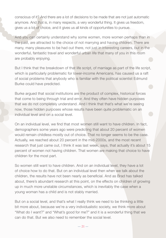conscious of it? And there are a lot of decisions to be made that are not just automatic anymore. And that is, in many respects, a very wonderful thing. It gives us freedom, gives us a lot of choice, and it gives us all kinds of opportunities to pursue.

And you can certainly understand why some women, more women perhaps than in the past, are attracted to the choice of not marrying and having children. There are many, many pleasures to be had out there, not just in interesting careers, but in the wonderful, fantastic travel and wonderful urban life that many of you in this room are probably enjoying.

But I think that the breakdown of that life script, of marriage as part of the life script, which is particularly problematic for lower-income Americans, has caused us a raft of social problems that anybody who is familiar with the political scientist Edmund Burke could have predicted.

Burke argued that social institutions are the product of complex, historical forces that come to being through trial and error. And they often have hidden purposes that we do not completely understand. And I think that that's what we're seeing now, those hidden purposes whose results have been quite problematic on an individual level and on a social level.

On an individual level, we find that most women still want to have children. In fact, demographers some years ago were predicting that about 20 percent of women would remain childless mostly out of choice. That no longer seems to be the case. Actually, we reached about 20 percent in the mid-2000s, and the most recent research that just came out, I think it was last week, says, that actually it's about 15 percent of women not having children. That women are making that choice to have children for the most part.

So women still want to have children. And on an individual level, they have a lot of choice how to do that. But on an individual level then when we talk about the children, the results have not been nearly as beneficial. And as Brad has talked about, there's abundant research at this point, on the effects on children of growing up in much more unstable circumstances, which is inevitably the case when a young woman has a child and is not stably married.

But on a social level, and that's what I really think we need to be thinking a little bit more about, because we're a very individualistic society, we think more about "What do I want?" and "What's good for me?" and it is a wonderful thing that we can do that. But we also need to remember the social level.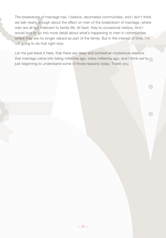The breakdown of marriage has, I believe, decimated communities, and I don't think we talk nearly enough about the effect on men of the breakdown of marriage, where men are all but irrelevant to family life. At best, they're occasional visitors. And I would love to go into more detail about what's happening to men in communities where they are no longer valued as part of the family. But in the interest of time, I'm not going to do that right now.

Let me just leave it here, that there are deep and somewhat mysterious reasons that marriage came into being millennia ago, many millennia ago, and I think we're just beginning to understand some of those reasons today. Thank you.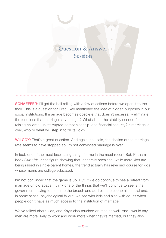# Question & Answer Session

**SCHAEFFER:** I'll get the ball rolling with a few questions before we open it to the floor. This is a question for Brad. Kay mentioned the idea of hidden purposes in our social institutions. If marriage becomes obsolete that doesn't necessarily eliminate the functions that marriage serves, right? What about the stability needed for raising children, uninterrupted companionship, and financial security? If marriage is over, who or what will step in to fill its void?

WILCOX: That's a great question. And again, as I said, the decline of the marriage rate seems to have stopped so I'm not convinced marriage is over.

In fact, one of the most fascinating things for me in the most recent Bob Putnam book *Our Kids* is the figure showing that, generally speaking, while more kids are being raised in single-parent homes, the trend actually has reversed course for kids whose moms are college educated.

I'm not convinced that the game is up. But, if we do continue to see a retreat from marriage unfold apace, I think one of the things that we'll continue to see is the government having to step into the breach and address the economic, social and, in some sense, psychological fallout, we see with kids and also with adults when people don't have as much access to the institution of marriage.

We've talked about kids, and Kay's also touched on men as well. And I would say men are more likely to work and work more when they're married, but they also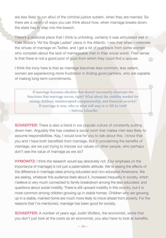are less likely to run afoul of the criminal justice system, when they are married. So there are a variety of ways you can think about how, when marriage breaks down, the state has to step into the breach.

There's a relational piece that I think is unfolding, certainly it was articulated well in Kate Bolick's "All the Single Ladies" piece in the *Atlantic.* I see that when I celebrate the virtues of marriage on Twitter, and I get a lot of pushback from some women who complain about the lack of marriageable men in their social world. Their sense is that there is not a good pool of guys from which they could find a spouse.

I think the irony here is that as marriage becomes less common, less salient, women are experiencing more frustration in finding good partners, who are capable of making long-term commitments.

If marriage becomes obsolete that doesn't necessarily eliminate the functions that marriage serves, right? What about the stability needed for raising children, uninterrupted companionship, and financial security? If marriage is over, who or what will step in to fill its void? —Sabrina Schaeffer

**SCHAEFFER:** There is also a trend in our popular culture of constantly putting down men. Arguably this has created a social norm that makes men less likely to assume responsibilities. Kay, I would love for you to talk about this. I know that you and I have both benefited from marriage. But in proclaiming the benefits of marriage, are we just trying to impose our values on other people, who perhaps don't see the value of marriage as we do?

**HYMOWITZ:** I think the research would say absolutely not. [Our emphasis on the importance of marriage] is not just a paternalistic attitude. We're seeing the effects of the difference in marriage rates among educated and non-educated Americans. We are seeing, whatever this audience feels about it, increased inequality in society, which I believe is very much connected to family breakdown among the less-educated, and questions about social mobility. There is still upward mobility in this country, but it is more common among children growing up in stable homes. Children who are growing up in a stable, married home are much more likely to move ahead from poverty. For the reasons that I've mentioned, marriage has been good for society.

**SCHAEFFER:** A number of years ago Justin Wolfers, the economist, wrote that you don't just look at the costs as an economist, you also have to look at benefits.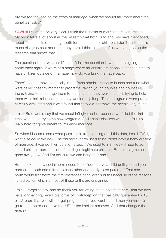Are we too focused on the costs of marriage, when we should talk more about the benefits? Isabel?

**SAWHILL:** Let me be very clear. I think the benefits of marriage are very strong. My book talks a lot about all the research that both Brad and Kay have mentioned, about the benefits of marriage both for adults and for children. I don't think there's much disagreement about that anymore. I think all three of us would agree on the research that shows that.

The question is not whether it's beneficial, the question is whether it's going to come back again. If we're at a stage where millennials are choosing half the time to have children outside of marriage, how do you bring marriage back?

There's been a move especially in the Bush administration to launch and fund what were called "healthy marriage" programs, taking young couples and counseling them, trying to encourage them to marry, and, if they were married, trying to help them with their relationship so they wouldn't split up. Those programs were pretty carefully evaluated and it was found that they did not move the needle very much.

I think Brad would say that we shouldn't give up just because we failed the first time; we should try some new programs. And I can't disagree with him. But it's really hard for government to influence marriage.

So when I became somewhat pessimistic from looking at all this data, I said, "Well, what else could we do?" The old social norm used to be "don't have a baby outside of marriage, if you do it will be stigmatized." We used to in my day--I hate to admit it--call children born outside of marriage illegitimate children. But that stigma has gone away now. And I'm not sure we can bring that back.

But I think the new social norm needs to be "don't have a child until you and your partner are both committed to each other and ready to be parents." That social norm would transform the circumstances of children's births because of the reasons I cited earlier, which is most of these births are unplanned.

I think I forgot to say, and so thank you for letting me supplement here, that we now have long-acting, reversible forms of contraception that basically guarantee for 10 or 12 years that you will not get pregnant until you want to and then you have to go to the doctor and have the IUD or the implant removed. And that changes the default.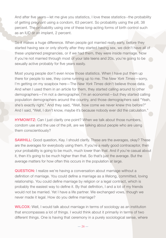And after five years—let me give you statistics, I love these statistics--the probability of getting pregnant using a condom, 63 percent. So probability using the pill, 38 percent. The probability using one of these long-acting forms of birth control such as an IUD or an implant, 2 percent.

So it makes a huge difference. When people got married really early, before they started having sex or only shortly after they started having sex, we didn't have all of these unplanned pregnancies, or if we had them, they were inside marriage. Now if you're not married through most of your late teens and 20s, you're going to be sexually active probably for five years easily.

Most young people don't even know those statistics. When I have put them up there for people to see, they come running up to me. The *New York Times*—sorry, I'm getting on my soapbox here—The *New York Times* didn't believe those data. And when I used them in an article for them, they started calling around to other demographers—I'm not a demographer, I'm an economist—but they started calling population demographers around the country, and those demographers said "Yeah, she's exactly right." And they said, "Well, how come we never knew this before?" And I said, "Well, I don't know, maybe it's because nobody ever did the calculation."

**HYMOWITZ:** Can I just clarify one point? When we talk about those numbers, condom use and the use of the pill, are we talking about people who are using them conscientiously?

**SAWHILL:** Good question, Kay. I should clarify. These are the averages, okay? These are the averages for everybody using them. If you're a really good contraceptor, then your probability is going to be much, much lower than that. And if you're casual about it, then it's going to be much higher than that. So that's just the average. But the average matters for how often this occurs in the population at large.

**QUESTION:** I realize we're having a conversation about marriage without a definition of marriage. You could define a marriage as a lifelong, committed, loving relationship. You could define marriage by religion or a legal contract, which is probably the easiest way to define it. By that definition, I and a lot of my friends would not be married. Yet I have a life partner. We exchanged vows, though we never made it legal. How do you define marriage?

WILCOX: Well, I would talk about marriage in terms of sociology as an institution that encompasses a lot of things. I would think about it primarily in terms of two different things. One is having that ceremony in a purely sociological sense, where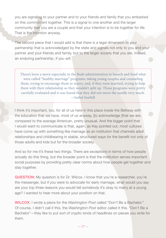you are signaling to your partner and to your friends and family that you embarked on this commitment together. This is a signal to one another and the larger community that you are a couple and that your intention is to be together for life. That is the intention anyway.

The second piece that I would add is that there is a legal dimension to your partnership that is acknowledged by the state and signals not only to you and your partner and your friends and family, but to the larger society that you are, indeed, an enduring partnership, if you will.

There's been a move especially in the Bush administration to launch and fund what were called "healthy marriage" programs, taking young couples and counseling them, trying to encourage them to marry, and, if they were married, trying to help them with their relationship so they wouldn't split up. Those programs were pretty carefully evaluated and it was found that they did not move the needle very much. —Isabel Sawhill

I think it's important, too, for all of us here in this place inside the Beltway with the education that we have, most of us anyway, [to acknowledge ]that we are, compared to the average American, pretty unusual. And the bigger point that I would want to communicate is that, again, as Kay pointed out, most cultures have come up with something like marriage as an institution that channels adult relationships and childbearing in stable, structured ways for the benefit not only of those adults and kids but for the broader society.

And so for me it's these two things. There are exceptions in terms of how people actually do this thing, but the broader point is that the institution serves important social purposes by providing pretty clear norms about how people get together and stay together.

QUESTION: My question is for Dr. Wilcox. I know that you're a researcher, you're the messenger, but if you were to advocate for early marriage, what would you say are your top three reasons you would tell somebody it's okay to marry at a young age? I wanted to hear more about your position on that.

WILCOX: I wrote a piece for the *Washington Post* called "Don't Be a Bachelor." Of course, I didn't call it this, the *Washington Post* editor called it this. "Don't Be a Bachelor"—they like to put sort of cryptic kinds of headlines on pieces you write for them.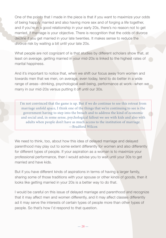One of the points that I made in the piece is that if you want to maximize your odds of being happily married and also having more sex and of forging a life together, and if you're in a good relationship in your early 20s, there's no reason not to get married, if marriage is your objective. There is recognition that the odds of divorce decline if you get married in your late twenties. It makes sense to reduce the divorce risk by waiting a bit until your late 20s.

What people are not cognizant of is that studies by different scholars show that, at least on average, getting married in your mid-20s is linked to the highest rates of marital happiness.

And it's important to notice that, when we shift our focus away from women and towards men that we men, on average, even today, tend to do better in a wide range of areas--drinking, psychological well-being, performance at work--when we marry in our mid-20s versus putting it off until our 30s.

I'm not convinced that the game is up. But if we do continue to see this retreat from marriage unfold apace, I think one of the things that we're continuing to see is the government having to step into the breach and to address the kind of economic and social and, in some sense, psychological fallout we see with kids and also with adults when people don't have as much access to the institution of marriage. —Bradford Wilcox

We need to think, too, about how this idea of delayed marriage and delayed parenthood may play out to some extent differently for women and also differently for different types of people. If your aspiration as a woman is to maximize your professional performance, then I would advise you to wait until your 30s to get married and have kids.

But if you have different kinds of aspirations in terms of having a larger family, sharing some of those traditions with your spouse or other kinds of goods, then it looks like getting married in your 20s is a better way to do that.

I would be careful on this issue of delayed marriage and parenthood and recognize that it may affect men and women differently, and it may affect classes differently ad it may serve the interests of certain types of people more than other types of people. So that's how I'd respond to that question.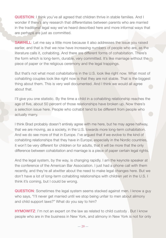QUESTION: I think you've all agreed that children thrive in stable families. And I wonder if there's any research that differentiates between parents who are married in the traditional legal way we've heard described here and more informal ways that are perhaps are just as committed.

**SAWHILL:** Let me say a little more because it also addresses the issue you raised earlier, and that is that we now have increasing numbers of people who are, as the literature calls it, cohabiting. And there are different forms of cohabitation. There's the form which is long-term, durable, very committed. It's like marriage without the piece of paper or the religious ceremony and the legal trappings.

But that's not what most cohabitations in the U.S. look like right now. What most of cohabiting couples look like right now is that they are not stable. That is the biggest thing about them. This is very well documented. And I think we would all agree about that.

I'll give you one statistic. By the time a child in a cohabiting relationship reaches the age of five, about 50 percent of those relationships have broken up. Now there's a selection issue here. People who cohabit tend to be different from people who actually marry.

I think Brad probably doesn't entirely agree with me here, but he may agree halfway, that we are moving, as a society, in the U.S. towards more long-term cohabitation. And we do see more of that in Europe. I've argued that if we evolve to the kind of cohabiting relationships that they have in Europe, especially in the Nordic countries, it won't be very different for children or for adults, that it will be more that the only difference between cohabitation and marriage is a piece of paper certain legal rights.

And the legal system, by the way, is changing rapidly. I am the keynote speaker at the conference of the American Bar Association. I just had a phone call with them recently, and they're all atwitter about the need to make legal changes here. But we don't have a lot of long-term cohabiting relationships with children yet in the U.S. I think it's coming, but I could be wrong.

QUESTION: Sometimes the legal system seems stacked against men. I know a guy who says, "I'll never get married until we stop being unfair to men about alimony and child support laws?" What do you say to him?

**HYMOWITZ:** I'm not an expert on the law as related to child custody. But I know people who are in the business in New York, and alimony in New York is not for only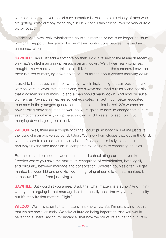women: it's for whoever the primary caretaker is. And there are plenty of men who are getting some alimony these days in New York. I think these laws do vary quite a bit by location.

In addition in New York, whether the couple is married or not is no longer an issue with child support. They are no longer making distinctions between married and unmarried fathers.

**SAWHILL:** Can I just add a footnote on that? I did a review of the research recently on what's called marrying up versus marrying down. Well, I was really surprised. I thought I knew more about this than I did. After I looked at the research, I saw that there is a ton of marrying down going on. I'm talking about women marrying down.

It used to be that because men were overwhelmingly in high-status positions and women were in lower-status positions, we always assumed culturally and socially that a woman should marry up and a man should marry down. And now because women, as Kay said earlier, are so well-educated, in fact much better educated than men in the youngest generation, and in some cities in their 20s women are now earning more than men as well, so we're going to have to change that cultural assumption about marrying up versus down. And I was surprised how much marrying down is going on already.

WILCOX: Well, there are a couple of things I could push back on. Let me just take the issue of marriage versus cohabitation. We know from studies that kids in the U. S. who are born to married parents are about 40 percent less likely to see their parents part ways by the time they turn 12 compared to kids born to cohabiting couples.

But there is a difference between married and cohabitating partners even in Sweden where you have the maximum recognition of cohabitation, both legally and culturally, between marriage and cohabitation. Swedish couples often will get married between kid one and kid two, recognizing at some level that marriage is somehow different from just living together.

**SAWHILL:** But wouldn't you agree, Brad, that what matters is stability? And I think what you're arguing is that marriage has traditionally been the way you get stability, but it's stability that matters. Right?

WILCOX: Well, it's stability that matters in some ways. But I'm just saying, again, that we are social animals. We take culture as being important. And you would never find a liberal saying, for instance, that how we structure education culturally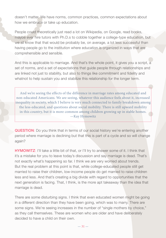doesn't matter. We have norms, common practices, common expectations about how we embrace or take up education.

People could theoretically just read a lot on Wikipedia, on Google, read books, maybe ever hire tutors with Ph.D.s to cobble together a college-type education, but we all know that that would be probably be, on average, a lot less successful than having people go to the institution where education is organized in ways that are comprehensible and sensible.

And this is applicable to marriage. And that's the whole point, it gives you a script, a set of norms, and a set of expectations that guide people through relationships and are linked not just to stability, but also to things like commitment and fidelity and whatnot to help sustain you and stabilize this relationship for the longer term.

And we're seeing the effects of the difference in marriage rates among educated and non-educated Americans. We are seeing, whatever this audience feels about it, increased inequality in society, which I believe is very much connected to family breakdown among. the less-educated, and questions about social mobility. There is still upward mobility in this country, but it is more common among children growing up in stable homes. —Kay Hymowitz

QUESTION: Do you think that in terms of our social history we're entering another period where marriage is declining but that this is part of a cycle and so will change again?

**HYMOWITZ:** I'll take a little bit of that, or I'll try to answer some of it. I think that it's a mistake for you to leave today's discussion and say marriage is dead. That's not exactly what's happening so far. I think we are very worried about trends. But the real problem at this point is that, while college-educated people still get married to raise their children, low-income people do get married to raise children less and less. And that's creating a big divide with regard to opportunities that the next generation is facing. That, I think, is the more apt takeaway than the idea that marriage is dead.

There are some disturbing signs. I think that even educated women might be going in a different direction than they have been going, which was to marry. There are some signs. We're seeing increases in the number of "single mothers by choice," as they call themselves. These are women who are older and have deliberately decided to have a child on their own.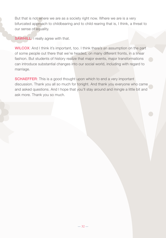But that is not where we are as a society right now. Where we are is a very bifurcated approach to childbearing and to child rearing that is, I think, a threat to our sense of equality.

**SAWHILL:** I really agree with that.

WILCOX: And I think it's important, too. I think there's an assumption on the part of some people out there that we're headed, on many different fronts, in a linear fashion. But students of history realize that major events, major transformations can introduce substantial changes into our social world, including with regard to marriage.

**SCHAEFFER:** This is a good thought upon which to end a very important discussion. Thank you all so much for tonight. And thank you everyone who came and asked questions. And I hope that you'll stay around and mingle a little bit and ask more. Thank you so much.